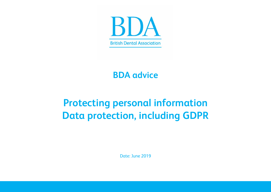

## **BDA advice**

# **Protecting personal information Data protection, including GDPR**

Date: June 2019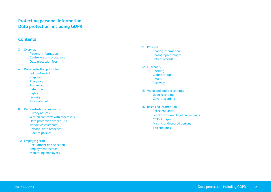### **Protecting personal information Data protection, including GDPR**

### **Contents**

- 3 [Overview](#page-2-0) [Personal information](#page-2-1) [Controllers and processors](#page-2-1) [Data protection fees](#page-3-0)
- 4 [Data protection principles](#page-3-1) [Fair and lawful](#page-3-2) [Purposes](#page-4-0) [Adequacy](#page-4-1) **[Accuracy](#page-4-2)** [Retention](#page-5-0) [Rights](#page-5-1) **[Security](#page-6-0)** [International](#page-6-1)
- 8 [Demonstrating compliance](#page-7-0) [Privacy notices](#page-7-1) [Written contracts with processors](#page-7-2) [Data protection officer \(DPO\)](#page-8-0) [Impact assessments](#page-8-1) [Personal data breaches](#page-8-2) [Practice policies](#page-8-3)
- 10 [Employing staff](#page-9-0) [Recruitment and selection](#page-9-1) [Employment records](#page-9-2) [Monitoring employees](#page-9-3)
- 11 [Patients](#page-10-0) [Sharing information](#page-10-1) [Photographic images](#page-10-2) [Patient records](#page-10-3)
- 12 [IT security](#page-11-0) [Phishing](#page-12-0) [Cloud storage](#page-13-0) [Emails](#page-13-1) [Recovery](#page-13-2)
- 15 [Video and audio recordings](#page-14-0) [Overt recording](#page-14-1) [Covert recording](#page-14-2)
- 16 [Releasing information](#page-15-0) [Police enquiries](#page-15-1) [Legal advice and legal proceedings](#page-15-2) [CCTV images](#page-15-3) [Missing or deceased persons](#page-16-0) [Tax enquiries](#page-16-1)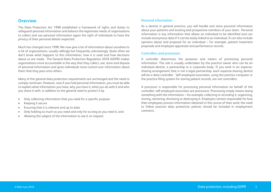### <span id="page-2-0"></span>**Overview**

The Data Protection Act 1998 established a framework of rights and duties to safeguard personal information and balance the legitimate needs of organisations to collect and use personal information again the right of individuals to have the privacy of their personal details respected.

Much has changed since 1998. We now give a lot of information about ourselves to a lot of organisations, usually willingly but frequently unknowingly. Quite often we don't know what happens to this information, how it is used and how decisions about us are made. The General Data Protection Regulation 2018 (GDPR) makes organisations more accountable in the way that they collect, use, store and dispose of personal information and gives individuals more control over information about them that they pass onto others.

Many of the general data protection requirements are unchanged and the need to comply continues. However, now if you hold personal information, you must be able to explain what information you have, why you have it, what you do with it and who you share it with, in addition to the general need to protect it by

- Only collecting information that you need for a specific purpose
- Keeping it secure
- Ensuring that it is relevant and up to date
- Only holding as much as you need and only for as long as you need it, and
- Allowing the subject of the information to see it on request.

### <span id="page-2-1"></span>Personal information

As a dentist in general practice, you will handle and store personal information about your patients and existing and prospective members of your team. Personal information is any information that allows an individual to be identified and can include anonymous data if it can be easily linked to an individual. It can also include opinions about and proposal for an individual – for example, patient treatment proposals and employee appraisals and performance records.

#### Controllers and processors

A controller determines the purposes and means of processing personal information. The role is usually undertaken by the practice owner who can be an individual dentist, a partnership or a corporate body. If you work in an expensesharing arrangement that is not a legal partnership, each expense-sharing dentist will be a data controller. Self-employed associates, using the practice computer or the practice filing system for storing patient records, are not controllers.

A processor is responsible for processing personal information on behalf of the controller; self-employed associates are processors. Processing simply means doing something with the information – for example, collecting or recording it, organising, storing, retrieving, disclosing or destroying it. Employers remain responsible for how their employees process information obtained in the course of their work; the need to follow practice data protection policies should be included in employment contracts.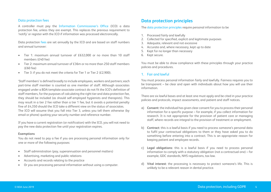### <span id="page-3-0"></span>Data protection fees

A controller must pay the [Information Commissioner's Office](https://ico.org.uk/) (ICO) a data protection fee, unless they are exempt. This replaces the previous requirement to 'notify' or register with the ICO if information was processed electronically.

Data protection [fees](https://ico.org.uk/media/for-organisations/documents/2258205/dp-fee-guide-for-controllers-20180221.pdf) are set annually by the ICO and are based on staff numbers and annual turnover:

- Tier 1: maximum annual turnover of £632,000 or no more than 10 staff members (£40 fee)
- Tier 2: maximum annual turnover of £36m or no more than 250 staff members (£60 fee)
- Tier 3: if you do not meet the criteria for Tier 1 or Tier 2 (£2,900).

'Staff members' is defined broadly to include employees, workers and partners; each part-time staff member is counted as one member of staff. Although associates engaged under a BDA template associate contract do not fit the ICO's definition of staff members, for the purposes of calculating the right tier and data protection fee, they should be included (as should self-employed hygienists and therapists). This may result in a tier 2 fee rather than a tier 1 fee, but it avoids a potential penalty fine of £4,350 should the ICO take a different view on the status of associates. The ICO will assume that you fall into Tier 3, unless you tell them otherwise (by email or phone) quoting your security number and reference number.

If you have a current registration (or notification) with the ICO, you will not need to pay the new data protection fee until your registration expires.

#### **Exemptions**

You do not need to pay a fee if you are processing personal information only for one or more of the following purposes:

- Staff administration (pay, superannuation and personnel matters)
- Advertising, marketing and public relations
- Accounts and records relating to the practice
- Or you are processing personal information without using a computer.

### <span id="page-3-1"></span>**Data protection principles**

The [data protection principles](https://ico.org.uk/for-organisations/guide-to-data-protection/data-protection-principles/) require personal information to be

- 1. Processed fairly and lawfully
- 2. Collected for specified, explicit and legitimate purposes
- 3. Adequate, relevant and not excessive
- 4. Accurate and, where necessary, kept up to date
- 5. Kept for no longer than necessary
- 6. Kept secure.

You must be able to show compliance with these principles through your practice policies and procedures.

### <span id="page-3-2"></span>1. Fair and lawful

You must process personal information fairly and lawfully. Fairness requires you to be transparent – be clear and open with individuals about how you will use their information.

There are six lawful bases and at least one must apply and be cited in your practice policies and protocols, impact assessments, and patient and staff notices.

- a) **Consent**: the individual has given clear consent for you to process their personal information for a specific purpose – for example, if you collect information for research. It is not appropriate for the provision of patient care or managing staff, where records are integral to the provision of treatment or employment.
- b) **Contract**: this is a lawful basis if you need to process someone's personal data to fulfil your contractual obligations to them or they have asked you to do something before entering into a contract. This is an appropriate reason for keeping patient and employee records.
- c) **Legal obligations**: this is a lawful basis if you need to process personal information to comply with a statutory obligation (not a contractual one) – for example, GDC standards, NHS regulations, tax law.
- d) **Vital interest**: the processing is necessary to protect someone's life. This is unlikely to be a relevant reason in dental practice.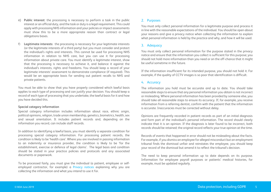- e) **Public interest**: the processing is necessary to perform a task in the public interest or an official duty, and the task or duty is a legal requirement. This could apply with processing NHS information and your policies or impact assessments must show this to be a more appropriate reason than contract or legal obligations bases.
- **Legitimate interests:** the processing is necessary for your legitimate interests (or the legitimate interests of a third party) but you must consider and protect the individual's rights and interests. This cannot be used for processing NHS information in relation to NHS care, but you can use it for processing information about private care. You must identify a legitimate interest, show that the processing is necessary to achieve it, and balance it against the individual's interests, rights and freedoms. You should keep a record of your legitimate interests' assessment to demonstrate compliance (if required). This would be an appropriate basis for sending out patient recalls to NHS and private patients.

You must be able to show that you have properly considered which lawful basis applies to each type of processing and can justify your decision. You should keep a record of each type of processing that you undertake, the lawful basis for it and how you have decided this.

### <span id="page-4-3"></span>**Special category information**

Special category information includes information about race, ethnic origin, political opinions, religion, trade union membership, genetics, biometrics, health, sex and sexual orientation. It includes patient records and, depending on the information you record, can include staff records.

In addition to identifying a lawful basis, you must identify a separate condition for processing special category information. For processing patient records, the condition is likely to be 'health care'. Where you are involved in passing information to an indemnity or insurance provider, the condition is likely to be 'for the establishment, exercise or defence of legal claims'. The legal basis and condition should be stated in your practice policies and protocols and any associated documents or paperwork.

### <span id="page-4-0"></span>2. Purposes

You must only collect personal information for a legitimate purpose and process it in line with the reasonable expectations of the individual. You should be open about your reasons and give a privacy notice when collecting the information to explain what personal information is held by the practice and why, and how it will be used.

### <span id="page-4-1"></span>3. Adequacy

You must only collect personal information for the purpose stated in the privacy notice and ensure that the information you collect is sufficient for this purpose; you should not hold more information than you need or on the off-chance that it might be useful sometime in the future.

If the information insufficient for its intended purpose, you should not hold it. For example, if the quality of CCTV images is so poor that identification is difficult.

### <span id="page-4-2"></span>4. Accuracy

The information you hold must be accurate and up to date. You should take reasonable steps to ensure that any personal information you obtain is not incorrect or misleading. Where personal information has been provided by someone else, you should take all reasonable steps to ensure its accuracy. If, for example, you receive information from a referring dentist, confirm with the patient that the information is accurate. Inaccuracies must be corrected without delay.

Opinions are frequently recorded in patient records as part of an initial diagnosis and form part of the individual's personal information. The record should clearly indicate that it is an opinion. If the diagnosis is later found to be incorrect, both records should be retained; the original record reflects your true opinion at the time.

Records of events that happened in error should not be misleading about the facts. For example, if you dismiss an employee for alleged misconduct but an employment tribunal finds the dismissal unfair and reinstates the employee, you should keep your record of the dismissal but amend it to reflect the tribunal's decision.

The need to keep personal information up to date depends on its purpose. Information for employee payroll purposes or patients' medical histories, for example, must be updated regularly.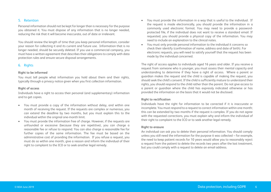### <span id="page-5-0"></span>5. Retention

Personal information should not be kept for longer than is necessary for the purpose you obtained it. You must dispose of any information that is no longer needed, reducing the risk that it will become inaccurate, out of date or irrelevant.

You should review the length of time that you keep personal information, consider your reason for collecting it and its current and future use. Information that is no longer needed, should be securely deleted. If you use a commercial company, you must have a written agreement that describes their obligations to comply with data protection rules and ensure secure disposal arrangements.

### <span id="page-5-1"></span>6. Rights

#### **Right to be informed**

You must tell people what information you hold about them and their rights, typically through a privacy notice given when you first collection information.

### **Right of access**

Individuals have a right to access their personal (and supplementary) information and to get copies.

- You must provide a copy of the information without delay, and within one month of receiving the request. If the requests are complex or numerous, you can extend the deadline by two months, but you must explain this to the individual within the original one-month limit.
- You must provide the information free of charge. However, if the requests are unfounded or excessive (because they are repetitive), you can charge a reasonable fee or refuse to respond. You can also charge a reasonable fee for further copies of the same information. The fee must be based on the administrative cost of providing the information. If you refuse a request, you must do so within one month, give a reason and inform the individual of their right to complaint to the ICO or to seek another legal remedy.
- You must provide the information in a way that is useful to the individual. If the request is made electronically, you should provide the information in a commonly used electronic format. You may need to provide a passwordprotected file, if the individual does not want to receive a standard email. If requested, you should provide a physical copy of the information. You may need to include an explanation to the clinical notes.
- You must only provide personal information to the individual it concerns so check their identify (confirmation of name, address and date of birth). For electronic requests, you will need to satisfy yourself that the request has been made by the individual concerned.

The right of access applies to individuals aged 16 years and older. If you receive a request from someone who is younger, you must assess their mental capacity and understanding to determine if they have a right of access. Where a parent or guardian makes the request and the child is capable of making the request, you should seek the child's consent. If the child is sufficiently mature to understand their rights, you should respond to the child rather than the parent. Do not give access to a parent or guardian where the child has expressly indicated otherwise or has provided the information on the basis that it would not be disclosed.

### **Right to rectification**

Individuals have the right for information to be corrected if it is inaccurate or incomplete. You must respond to a request to correct information within one month; this can be extended by two months if the request is complex. If you do not agree with the requested corrections, you must explain why and inform the individual of their right to complaint to the ICO or to seek another legal remedy.

### **Right to erasure**

An individual can ask you to delete their personal information. You should comply unless you still need the information for the purpose it was collected – for example, the need to keep patient records for 10 years would allow you to reasonably reject a request from the patient to delete the records two years after the last treatment, but you could comply with a request to delete an email address.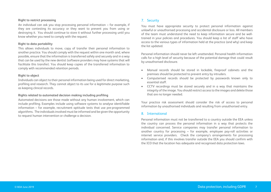### **Right to restrict processing**

An individual can ask you stop processing personal information – for example, if they are contesting its accuracy or they want to prevent you from using or destroying it. You should continue to store it without further processing until you know whether you need to comply with the request.

#### **Right to data portability**

This allows individuals to move, copy of transfer their personal information to another practice. You should comply with the request within one month and, where possible, ensure that the information is transferred safely and securely and in a way that can be used by the new dentist (software providers may have systems that will facilitate this transfer). You should keep copies of the transferred information to comply with recommended retention periods.

#### **Right to object**

Individuals can object to their personal information being used for direct marketing, profiling and research. They cannot object to its use for a legitimate purpose such as keeping clinical records.

### **Rights related to automated decision making including profiling**

Automated decisions are those made without any human involvement, which can include profiling. Examples include using software systems to analyse identifiable information – for example, recruitment aptitude tests that use pre-programmed algorithms. The individuals involved must be informed and be given the opportunity to request human intervention or challenge a decision.

### <span id="page-6-0"></span>7. Security

You must have appropriate security to protect personal information against unlawful or unauthorised processing and accidental disclosure or loss. All members of the team must understand the need to keep information secure and be welltrained in your policies and procedures. You should keep a list of staff who have access to the various types of information held at the practice (and why) and keep the list updated.

Personal information should never be left unattended. Personal health information calls for a high level of security because of the potential damage that could result by unauthorised disclosure.

- Manual records should be stored in lockable, fireproof cabinets and the premises should be protected to prevent entry by intruders.
- Computerised records should be protected by passwords known only to essential staff.
- CCTV recordings must be stored securely and in a way that maintains the integrity of the image. You should restrict access to the images and delete those that are no longer needed.

Your practice risk assessment should consider the risk of access to personal information by unauthorised individuals and resulting from unauthorised entry.

### <span id="page-6-1"></span>8. International

Personal information must not be transferred to a country outside the EEA unless the country can process the personal information in a way that protects the individual concerned. Service companies may transfer personal information to another country for processing – for example, employee pay-roll activities or internet service providers. Check the company's arrangements for processing information and, if this involves transfer outside the EEA you should confirm with the ICO that the location has adequate and recognised data protection laws.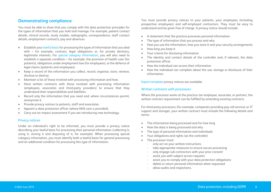### <span id="page-7-0"></span>**Demonstrating compliance**

You must be able to show that you comply with the data protection principles for the types of information that you hold and manage. For example, patient contact details, clinical records, study models, radiographs, correspondence, staff contact details, employment contracts, pay and absences.

- Establish you[r lawful basis](#page-3-1) for processing the types of information that you deal with – for example, contract, legal obligations or, for private dentistry, legitimate interests. For [special category information,](#page-4-3) you will also need to establish a separate condition – for example, the provision of health care (for patients), obligations under employment law (for employees), or the defence of legal claims (patients and employees).
- Keep a record of the information you collect, record, organise, store, retrieve, disclose or destroy.
- Maintain a list of those involved with processing information and how.
- Have written contracts with those involved with processing information (employees, associates and third-party providers) to ensure that they understand their responsibilities and liabilities.
- Record only the information that you need and, where circumstances permit, anonymise it.
- Provide privacy notices to patients, staff and associates.
- Appoint a data protection officer (where NHS care is provided).
- Carry out an impact assessment if you are introducing new technology.

### <span id="page-7-1"></span>Privacy notices

Under an individual's right to be informed, you must provide a privacy notice describing your lawful basis for processing their personal information (collecting it, using it, storing it and disposing of it, for example). When processing special category information, you must identify both a lawful basis for general processing and an additional condition for processing this type of information.

You must provide privacy notices to your patients, your employees (including prospective employees) and self-employed contractors. They must be easy to understand and be given free of charge. A privacy notice should include:

- A statement that the practice processes personal information
- The type of information that you process and why
- How you use the information, how you store it and your security arrangements
- How long you keep it
- Your criteria for disclosing information
- The identity and contact details of the controller and, if relevant, the data protection officer
- How the individual can access their information
- How the individual can complain about the use, storage or disclosure of their information.

[Expert template](https://www.bda.org/dentists/advice/expert-solutions-templates) privacy notices are available.

### <span id="page-7-2"></span>Written contracts with processors

Where the processor works at the practice (an employee, associate, or partner), the written contract requirement can be fulfilled by amending existing contracts.

For third-party processors (for example, companies providing pay-roll services or IT support and storage), your written contract must include the following details and terms:

- The information being processed and for how long
- How the data is being processed and why
- The type of personal information and individuals
- Your obligations and rights (as the controller)
- The processor must:
	- only act on your written instructions
	- take appropriate measures to ensure secure processing
	- only engage sub-contractors with your prior consent
	- assist you with subject access requests
	- assist you to comply with your data protection obligations
	- delete or return personal information when requested
	- allow audits and inspections.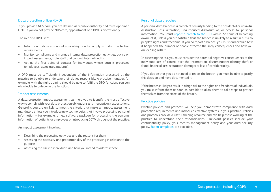### <span id="page-8-0"></span>Data protection officer (DPO)

If you provide NHS care, you are defined as a public authority and must appoint a DPO. If you do not provide NHS care, appointment of a DPO is discretionary.

### The role of a DPO is to:

- Inform and advise you about your obligation to comply with data protection requirements
- Monitor compliance and manage internal data protection activities, advise on impact assessments, train staff and conduct internal audits
- Act as the first point of contact for individuals whose data is processed (employees, associates, patients).

A DPO must be sufficiently independent of the information processed at the practice to be able to undertake their duties responsibly. A practice manager, for example, with the right training should be able to fulfil the DPO function. You can also decide to outsource the function.

#### <span id="page-8-1"></span>Impact assessments

A data protection impact assessment can help you to identify the most effective way to comply with your data protection obligations and meet privacy expectations. Generally, you are unlikely to meet the criteria that make an impact assessment mandatory unless you introduce new technologies that involve processing personal information – for example, a new software package for processing the personal information of patients or employees or introducing CCTV throughout the practice.

An impact assessment involves:

- Describing the processing activities and the reasons for them
- Assessing the necessity and proportionality of the processing in relation to the purpose
- Assessing the risks to individuals and how you intend to address these.

### <span id="page-8-2"></span>Personal data breaches

A personal data breach is a breach of security leading to the accidental or unlawful destruction, loss, alteration, unauthorised disclosure of, or access to, personal information. You must [report a breach](https://ico.org.uk/for-organisations/report-a-breach/) to the ICO within 72 hours of becoming aware of it, unless you are satisfied that the breach is unlikely to result in a risk to people's rights and freedoms. If you do report a breach, you must and explain how it happened, the number of people affected the likely consequences and how you are dealing with it.

In assessing the risk, you must consider the potential negative consequences to the individual: loss of control over the information; discrimination; identity theft or fraud; financial loss; reputation damage; or loss of confidentiality.

If you decide that you do not need to report the breach, you must be able to justify this decision and have documented it.

If the breach is likely to result in a high risk to the rights and freedoms of individuals, you must inform them as soon as possible to allow them to take steps to protect themselves from the effect of the breach.

### <span id="page-8-3"></span>Practice policies

Practice policies and protocols will help you demonstrate compliance with data protection requirements and introduce effective systems in your practice. Policies and protocols provide a useful training resource and can help those working at the practice to understand their responsibilities. Relevant policies include your confidentiality policy, your records management policy and your data security policy. [Expert templates](https://www.bda.org/dentists/advice/expert-solutions-templates) are available.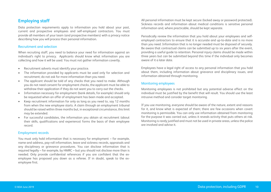### <span id="page-9-0"></span>**Employing staff**

Data protection requirements apply to information you hold about your past, current and prospective employees and self-employed contractors. You must provide all members of your team (and prospective members) with a privacy notice describing how you will process their personal information.

### <span id="page-9-1"></span>Recruitment and selection

When recruiting staff, you need to balance your need for information against an individual's right to privacy. Applicants should know what information you are collecting and how it will be used. You must not gather information covertly.

- Recruitment adverts must identify your practice.
- The information provided by applicants must be used only for selection and recruitment; do not ask for more information than you need.
- The applicant should be told of any checks that you need to make. Although you do not need consent for employment checks, the applicant must be able to withdraw their application if they do not want you to carry out the checks.
- Information necessary for employment (bank details, for example) should only be requested when an offer of employment has been made and accepted.
- Keep recruitment information for only as long as you need to, say 12 months from when the new employee starts. A claim through an employment tribunal should be raised within three months but, in exceptional circumstance, this limit may be extended.
- For successful candidates, the information you obtain at recruitment (about their skills, qualifications and experience) forms the basis of their employee record.

### <span id="page-9-2"></span>Employment records

You must only hold information that is necessary for employment – for example, name and address, pay-roll information, leave and sickness records, appraisals and any disciplinary or grievance procedures. You can disclose information that is required legally – for example, by HMRC – but you should not disclose more than is needed. Only provide confidential references if you are confident that the exemployee has proposed you down as a referee. If in doubt, speak to the exemployee first.

All personal information must be kept secure (locked away or password protected). Sickness records and information about medical conditions is sensitive personal information and, where practicable, should be kept separate.

Periodically review the information that you hold about your employees and selfemployed contractors to ensure that it is accurate and up-to-date and is no more than you need. Information that is no longer needed must be disposed of securely. Be aware that contractual claims can be submitted up to six years after the event, providing a useful guide to retention. Personal injury claims should be made within three years but can be submitted beyond this time if the individual only becomes aware of it a later date.

Employees have a legal right of access to any personal information that you hold about them, including information about grievance and disciplinary issues, and information obtained through monitoring.

### <span id="page-9-3"></span>Monitoring employees

Monitoring employees is not prohibited but any potential adverse effect on the individual must be justified by the benefit that will result. You should use the least intrusive method and consider target monitoring.

If you use monitoring, everyone should be aware of the nature, extent and reasons for it, and know what is expected of them; there are few occasions when covert monitoring is permissible. You can only use information obtained from monitoring for the purpose it was carried out, unless it reveals activity that puts others at risk. Monitoring is rarely justified and must not be used in private areas, unless the police are involved and advise it.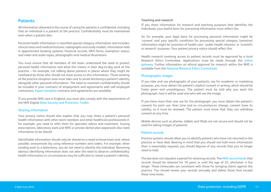### <span id="page-10-0"></span>**Patients**

All information obtained in the course of caring for patients is confidential, including that an individual is a patient at the practice. Confidentiality must be maintained even when a patient dies.

Personal health information is classified special category information and includes: clinical notes and medical histories; radiographs and study models; information held in appointment booking systems; financial records, NHS forms, exemption status; and video and audio tapes, photographs and medical illustrations.

You must ensure that all members of the team understand the need to protect personal health information and what this means in their day-to-day work at the practice – for example, not talking about patients in places where they might be overheard by those who should not have access to this information. Those working at the practice reception area must take care to avoid disclosing a patient's identity alongside other personal information. The need to maintain confidentiality should be included in your contracts of employment and agreements with self-employed contractors. [Expert template](https://www.bda.org/dentists/advice/expert-solutions-templates) contracts and agreements are available.

If you provide NHS care in England, you must also comply with the requirements of the NHS Digital [Data Security and Protection Toolkit.](https://www.dsptoolkit.nhs.uk/)

### <span id="page-10-1"></span>Sharing information

Your privacy notice should also explain that you may share a patient's personal health information with other team members and other healthcare professionals if, for example, you need to refer them for specialist advice and treatment. Issuing prescriptions, laboratory work and NHS or private dental plan paperwork also need information to be shared.

Identifiable information should only be shared on a need-to-know basis and, where possible, anonymised (by using reference numbers and codes). For example, when sending work to a laboratory, you do not need to identify the individual. Removing obvious identifying information does not alter the need to observe confidentiality; health information or circumstances may be sufficient to reveal a patient's identity.

### **Teaching and research**

If you share information for research and teaching purposes that identifies the individuals, your lawful basis for processing information must reflect this.

So, for example, your legal basis for processing personal information might be 'consent' and your specific conditions for processing special category (sensitive) information might be 'provision of health care', 'public health interests' or 'scientific or research' purposes. Your patient privacy notice should reflect this.

Health research involving access to patient records must be approved by a local Research Ethics Committee. Applications must be made through the [online](http://www.myresearchproject.org.uk/)  [gateway.](http://www.myresearchproject.org.uk/) Further information on ethical approval for research within the NHS is available from the [National Research Ethics Committees](http://www.nres.nhs.uk/)

### <span id="page-10-2"></span>Photographic images

If you take and use photographs of your patients, say for academic or marketing purposes, you must obtain the patient's explicit consent in writing, which should be freely given and unambiguous. The patient must be told why you want the photograph, how it will be used and who will use the image.

If you have more than one use for the photograph, you must obtain the patient's consent for each use. Over time and as circumstances change, consent loses its validity, so it must be renewed. The patient must know that they can withdraw consent at any time.

Mobile devices such as phones, tablets and iPads are not secure and should not be used for taking images of patients.

### <span id="page-10-3"></span>Patient records

Practice systems should allow you to identify patients who have not returned to the practice or have died. Bearing in mind that you should not hold more information than is reasonably required, you should dispose of any records that you no longer need to hold.

The law does not stipulate a period for retaining records. Th[e NHS recommends](https://digital.nhs.uk/article/1202/Records-Management-Code-of-Practice-for-Health-and-Social-Care-2016) that records should be retained for 10 years or until the age of 25, whichever is the longer. These timescales are consistent with those for bringing claims against the practice. You should review your records annually and delete those that exceed these time limits.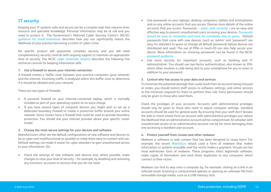### <span id="page-11-0"></span>**IT security**

Keeping your IT systems safe and secure can be a complex task that requires time, resource and specialist knowledge. Personal information may be at risk and you need to protect it. The Government's National Cyber Security Centre's (NCSC) [guidance for small businesses](https://www.ncsc.gov.uk/smallbusiness) describes how you can significantly reduce the likelihood of your practice becoming a victim of cyber-crime.

No specific product will guarantee complete security and you will need complementary security controls with ongoing support to maintain an appropriate level of security. The NCSC [cyber essentials scheme](https://www.cyberessentials.ncsc.gov.uk/advice/) describes the following five technical controls for keeping information safe.

### **1. Use a firewall to secure your internet connection**

A firewall creates a 'buffer zone' between your practice computers (your network) and the internet. Incoming traffic is analysed within this buffer zone to determine if it should be allowed onto your network.

There are two types of firewalls:

- A personal firewall on your internet-connected laptop, which is normally included as part of your operating system at no extra charge
- If you have several types of computer devices you might wish to set up a dedicated boundary firewall to create a protective buffer around your entire network. Some routers have a firewall that could be used to provide boundary protection. You should ask your internet provider about your specific router model.

### **2. Choose the most secure settings for your devices and software**

Manufacturers often set the default configurations of new software and devices to be as open and multifunctional as possible to make them easy to connect and use. Default settings can make it easier for cyber attackers to gain unauthorised access to your information. Do:

• Check the settings of new software and devices and, where possible, make changes to raise your level of security – for example, by disabling and removing any functions, accounts or services that you do not need

- Use passwords on your laptops, desktop computers, tablets and smartphones and on any online accounts that you access. Devices store details of the online accounts that you access. Passwords – [when used correctly](https://www.ncsc.gov.uk/guidance/password-guidance-simplifying-your-approach) – are an easy and effective way to prevent unauthorised users accessing your devices. [Passwords](https://www.ncsc.gov.uk/blog-post/three-random-words-or-thinkrandom-0)  [should be easy to remember and hard for somebody else to guess.](https://www.ncsc.gov.uk/blog-post/three-random-words-or-thinkrandom-0) Default passwords that come with new devices (such as 'admin' and 'password') are easy for attackers to guess so change all default passwords before devices are distributed and used. The use of PINs or touch-ID can also help secure your device. More information on choosing passwords can be found in the NCSC [password guidance](https://www.ncsc.gov.uk/guidance/password-collection)
- Use extra security for important accounts, such as banking and IT administration. You should use two-factor authentication, also known as 2FA, which often involves a code being sent to your smartphone for you to enter in addition to your password.

### **3. Control who has access to your data and services**

To minimise the potential damage that could result from an account being misused or stolen, you should restrict staff access to software, settings, and online services to the minimum required for them to perform their role. Extra permissions should only be given to those who need them.

Check the privileges of your accounts. Accounts with administrative privileges should only be given to those who need to adjust computer settings; standard accounts should be used for general work. By ensuring that your staff don't browse the web or check emails from an account with administrative privileges you reduce the likelihood that an administrative account will be compromised. An attacker with unauthorised access to an administrative account can be far more damaging than one accessing a standard user account.

### **4. Protect yourself from viruses and other malware**

Malware is software or web content that has been designed to cause harm. For example, the recent [WannaCry](https://www.ncsc.gov.uk/WannaCry-guidance-for-home-users-and-small-businesses) attack used a form of malware that makes information or systems unusable until the victim makes a payment. Viruses are the most well-known form of malware. These programs infect legitimate software, make copies of themselves and send these duplicates to any computers which connect to their victim.

Malware can find its way onto a computer by, for example, clicking on a link in an infected email, browsing a compromised website or opening an unknown file from removable storage media, such as a USB memory stick.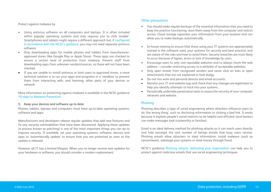### Protect against malware by

- Using antivirus software on all computers and laptops. It is often included within popular operating systems and only requires you to click 'enable'. Smartphones and tablets might require a different approach but, i[f configured](https://www.ncsc.gov.uk/guidance/end-user-device-security)  [in accordance with the NCSC's guidance](https://www.ncsc.gov.uk/guidance/end-user-device-security), you may not need separate antivirus software
- Only downloading apps for mobile phones and tablets from manufacturerapproved stores (like Google Play or Apple Store). These apps are checked to ensure a certain level of protection from malware. Prevent staff from downloading apps from unknown vendors/sources, as these will not have been checked
- If you are unable to install antivirus or limit users to approved stores, a more technical solution is to run your apps and programs in a 'sandbox' to prevent them from interacting with, and harming, other parts of your devices or network.

More information on protecting against malware is available in the NCSC guidance [10 steps to Malware Prevention.](https://www.ncsc.gov.uk/guidance/10-steps-malware-prevention)

#### **5. Keep your devices and software up to date**

Phones, tablets, laptops and computers must have up-to-date operating systems, software and apps.

Manufacturers and developers release regular updates that add new features and fix any security vulnerabilities that have been discovered. Applying these updates (a process known as patching) is one of the most important things you can do to improve security. If available, set your operating systems, software, devices and apps to 'automatically update' to ensure that you are protected as soon as the update is released.

However, all IT has a limited lifespan. When you no longer receive new updates for your hardware or software, you should consider a modern replacement.

### Other precautions

- You should make regular backups of the essential information that you need to keep the practice functioning, store them away from the computer and restrict access. Cloud storage separates your information from your location and can allow you to make backups automatically.
- In-house training to ensure that those using your IT systems are appropriately trained in the software used, your systems for security and best practice, and are aware of the risks and how to avoid them. Security breaches are most likely to occur because of lapses, errors or lack of knowledge by users.
- Encourage users to only visit reputable websites and to always check the web address – consider restricting access to a whitelist of acceptable websites.
- Only open emails from recognised senders and never click on links or open attachments that are not explained or look dodgy.
- Do not mix work and personal devices and email accounts.
- Monitor your IT and website logs and check that any changes are legitimate to help you identify attempts to hack into your systems.
- Periodically undertake penetration tests to assess the security of your computer networks and website.

### <span id="page-12-0"></span>Phishing

Phishing describes a type of social engineering where attackers influence users to do 'the wrong thing', such as disclosing information or clicking a bad link. It works because it exploits people's social instincts to be helpful and efficient (and hackers can make messages look trustworthy or familiar).

Email is an ideal delivery method for phishing attacks as it can reach users directly and hide amongst the vast number of benign emails that busy users receive. Phishing emails allow attackers to steal information, install malware (such as ransomware), sabotage your systems or steal money through fraud.

NCSC's guidance [Phishing attacks: defending your organisation](https://www.ncsc.gov.uk/phishing) can help you to protect against malicious emails that use social engineering techniques.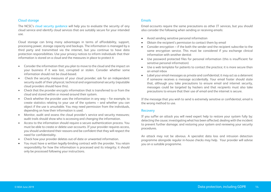### <span id="page-13-0"></span>Cloud storage

The NCSC's [cloud security guidance](https://www.ncsc.gov.uk/guidance/cloud-security-collection) will help you to evaluate the security of any cloud service and identify cloud services that are suitably secure for your intended use.

Cloud storage can bring many advantages in terms of affordability, support, processing power, storage capacity and backups. The information is managed by a third party and transmitted via the internet, but you continue to have data protection responsibilities. Use your privacy notices to inform individuals that their information is stored on a cloud and the measures in place to protect it

- Consider the information that you plan to move to the cloud and the impact on your business if it was lost, corrupted or stolen. Consider whether some information should not be cloud-based.
- Check the security measures of your cloud provider; ask for an independent security audit of their physical, technical and organisational security (reputable cloud providers should have this).
- Check that the provider encrypts information that is transferred to or from the cloud and stored within or moved around their system.
- Check whether the provider uses the information in any way for example, to create statistics relating to your use of the systems – and whether you can object if the use is unsuitable. You may need permission from the individuals, depending on how their information is used.
- Monitor, audit and assess the cloud provider's service and security measures; audit trails should show who is accessing and changing the information.
- Access to the information should require a secure authentication process. You must be able to create or delete user accounts. If your provider requires access, you should understand their reasons and be confident that they will respect the need for confidentiality.
- Check how your provider deletes out-of-date or unwanted information.
- You must have a written legally-binding contract with the provider. You retain responsibility for how the information is processed and its integrity; it should only be processed following your instructions.

### <span id="page-13-1"></span>**Emails**

Email accounts require the same precautions as other IT services, but you should also consider the following when sending or receiving emails:

- Avoid sending sensitive personal information
- Obtain the recipient's permission to contact them by email
- Consider encryption if the both the sender and the recipient subscribe to the same encryption service. This must be considered if you exchange clinical information with another dentist
- Use password protected files for personal information (this is insufficient for sensitive personal information)
- Use a web template for patients to contact the practice; it is more secure than an email inbox
- Label your email messages as private and confidential; it may act as a deterrent if someone receives a message accidentally. Your email footer should state that, although you take precautions to ensure email and internet security, messages could be targeted by hackers and that recipients must also take precautions to ensure that their use of email and the internet is secure.

If the message that you wish to send is extremely sensitive or confidential, email is the wrong method to use.

### <span id="page-13-2"></span>Recovery

If you suffer an attack you will need expert help to restore your system fully by: detecting the cause; investigating what has been affected; dealing with the incident to prevent further damage; and restoring your system and reviewing your security procedures.

An attack may not be obvious. A specialist data loss and intrusion detection programme alongside regular in-house checks may help. Your provider will advise you on a suitable programme.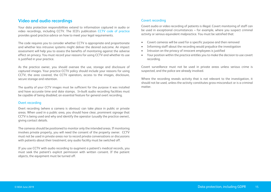### <span id="page-14-0"></span>**Video and audio recordings**

Your data protection responsibilities extend to information captured in audio or video recordings, including CCTV. The ICO's publication [CCTV code of practice](http://www.ico.org.uk/for_organisations/data_protection/topic_guides/cctv) provides good practice advice on how to meet your legal requirements.

The code requires you to consider whether CCTV is appropriate and proportionate and whether less intrusive systems might deliver the desired outcome. An impact assessment will help you to assess the benefits of monitoring against the adverse effect on privacy. You must record your reasons for using CCTV and whether its use is justified in your practice.

As the practice owner, you should oversee the use, storage and disclosure of captured images. Your practice CCTV policy should include your reasons for using CCTV, the area covered, the CCTV operators, access to the images, disclosure, secure storage and retention.

The quality of your CCTV images must be sufficient for the purpose it was installed and have accurate time and date stamps. In-built audio recording facilities must be capable of being disabled; an essential feature for general overt recording.

### <span id="page-14-1"></span>Overt recording

Overt recording (where a camera is obvious) can take place in public or private areas. When used in a public area, you should have clear, prominent signage that CCTV is being used and why and identify the operator (usually the practice owner), giving contact details.

The cameras should be positioned to monitor only the intended areas. If monitoring involves private property, you will need the consent of the property owner. CCTV must not be used in private areas nor to record private conversations or discussions with patients about their treatment; any audio facility must be switched off.

If you use CCTV with audio recording to augment a patient's medical records, you must seek the patient's explicit permission with written consent. If the patient objects, the equipment must be turned off.

### <span id="page-14-2"></span>Covert recording

Covert audio or video recording of patients is illegal. Covert monitoring of staff can be used in exceptional circumstances – for example, where you suspect criminal activity or serious equivalent malpractice. You must be satisfied that:

- Covert cameras will be used for a specific purpose and then removed
- Informing staff about the recording would prejudice the investigation
- Intrusion on the privacy of innocent employees is justified
- Your position within the practice entitles you to make the decision to use covert recording.

Covert surveillance must not be used in private areas unless serious crime is suspected, and the police are already involved.

Where the recording reveals activity that is not relevant to the investigation, it should not be used, unless the activity constitutes gross-misconduct or is a criminal matter.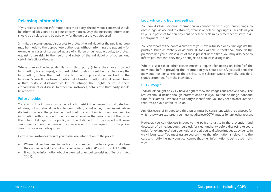### <span id="page-15-0"></span>**Releasing information**

If you release personal information to a third party, the individual concerned should be informed (this can be via your privacy notice). Only the necessary information should be disclosed and be used only for the purpose it was disclosed.

In limited circumstances, disclosures to protect the individual or the public at large may be made to the appropriate authorities, without informing the patient – for example, in cases of suspected abuse of children or vulnerable adults, to protect against future risks to the health and safety of the individual or of others, and certain infectious diseases.

Where a record includes details of a third party (where they have provided information, for example), you must obtain their consent before disclosing the information, unless the third party is a health professional involved in the individual's care. It may be reasonable to disclose information without consent from a third party if disclosure would not infringe their rights or cause them embarrassment or distress. In other circumstances, details of a third party should be redacted.

### <span id="page-15-1"></span>Police enquiries

You can disclose information to the police to assist in the prevention and detection of crime, but you should ask for clear authority (a court order, for example) before disclosing. Where the police demand that the situation is urgent and require information without a court order, you must consider the seriousness of the crime, the potential danger to the public, and the likelihood that the suspect will cause serious injury to another person. If you receive a disclosure request from the police, seek advice on your obligations.

Certain circumstances require you to disclose information to the police:

- Where a driver has been injured or has committed an offence, you can disclose their name and address but not clinical information (Road Traffic Act 1988)
- If you have information about a planned or actual terrorist act (Terrorism Act 2005).

### <span id="page-15-2"></span>Legal advice and legal proceedings

You can disclose personal information in connection with legal proceedings, to obtain legal advice and to establish, exercise or defend legal rights. This allows you to pursue patients for non-payment or defend a claim by a member of staff in an Employment Tribunal.

You can report to the police a crime that you have witnessed or a crime against the practice, (such as robbery or assault). If, for example, a theft took place at the premises and you disclose a list of those present at the time, you may also need to inform patients that they may be subject to a police investigation.

Where a solicitor or other person makes a request for access on behalf of the individual, before providing the information you should satisfy yourself that the individual has consented to the disclosure. A solicitor would normally provide a signed statement from the individual.

### <span id="page-15-3"></span>CCTV images

Individuals caught on CCTV have a right to view the images and receive a copy. The request should include enough information to allow you to find the image (date and time, for example). Where a third party is identifiable, you may need to obscure their features to avoid unfair intrusion.

Any disclosure of images to a third party must be consistent with the purposes for which they were captured; you must not disclose CCTV images for any other reason.

However, you can disclose images to the police to assist in the prevention and detection of crime, but you should ask for clear authority before disclosing (a court order, for example). A court can ask (or order) you to disclose images as evidence in a civil legal case. You must assure yourself that the information is relevant to the case and notify the individuals concerned that their information is being used in this way.